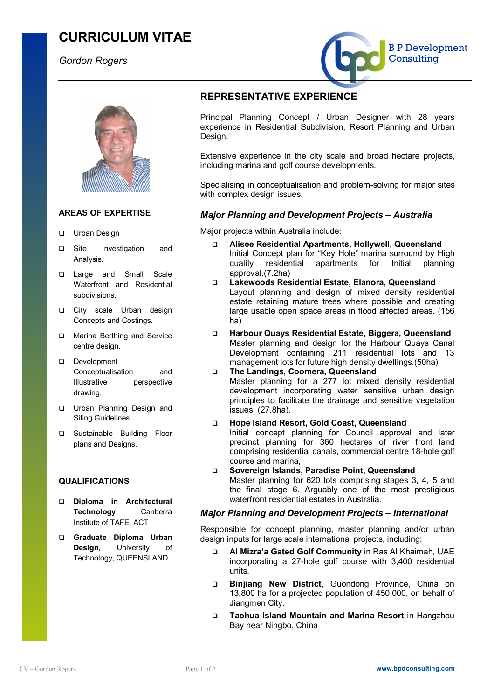# **CURRICULUM VITAE**

*Gordon Rogers*





### **AREAS OF EXPERTISE**

- □ Urban Design
- □ Site Investigation and Analysis.
- **Q** Large and Small Scale Waterfront and Residential subdivisions.
- **Q** City scale Urban design Concepts and Costings.
- **Q** Marina Berthing and Service centre design.
- Development Conceptualisation and Illustrative perspective drawing.
- **Q** Urban Planning Design and Siting Guidelines.
- **Q** Sustainable Building Floor plans and Designs.

### **QUALIFICATIONS**

- q **Diploma in Architectural Technology** Canberra Institute of TAFE, ACT
- q **Graduate Diploma Urban Design**, University of Technology, QUEENSLAND

## **REPRESENTATIVE EXPERIENCE**

Principal Planning Concept / Urban Designer with 28 years experience in Residential Subdivision, Resort Planning and Urban Design.

Extensive experience in the city scale and broad hectare projects, including marina and golf course developments.

Specialising in conceptualisation and problem-solving for major sites with complex design issues.

## *Major Planning and Development Projects – Australia*

Major projects within Australia include:

- q **Alisee Residential Apartments, Hollywell, Queensland** Initial Concept plan for "Key Hole" marina surround by High<br>quality residential apartments for Initial planning quality residential apartments for Initial planning approval.(7.2ha)
- q **Lakewoods Residential Estate, Elanora, Queensland** Layout planning and design of mixed density residential estate retaining mature trees where possible and creating large usable open space areas in flood affected areas. (156 ha)
- q **Harbour Quays Residential Estate, Biggera, Queensland** Master planning and design for the Harbour Quays Canal Development containing 211 residential lots and 13 management lots for future high density dwellings.(50ha)
- q **The Landings, Coomera, Queensland** Master planning for a 277 lot mixed density residential development incorporating water sensitive urban design principles to facilitate the drainage and sensitive vegetation issues. (27.8ha).
- q **Hope Island Resort, Gold Coast, Queensland** Initial concept planning for Council approval and later precinct planning for 360 hectares of river front land comprising residential canals, commercial centre 18-hole golf course and marina,
- q **Sovereign Islands, Paradise Point, Queensland** Master planning for 620 lots comprising stages 3, 4, 5 and the final stage 6. Arguably one of the most prestigious waterfront residential estates in Australia.

## *Major Planning and Development Projects – International*

Responsible for concept planning, master planning and/or urban design inputs for large scale international projects, including:

- q **Al Mizra'a Gated Golf Community** in Ras Al Khaimah, UAE incorporating a 27-hole golf course with 3,400 residential units.
- q **Binjiang New District**, Guondong Province, China on 13,800 ha for a projected population of 450,000, on behalf of Jiangmen City.
- q **Taohua Island Mountain and Marina Resort** in Hangzhou Bay near Ningbo, China